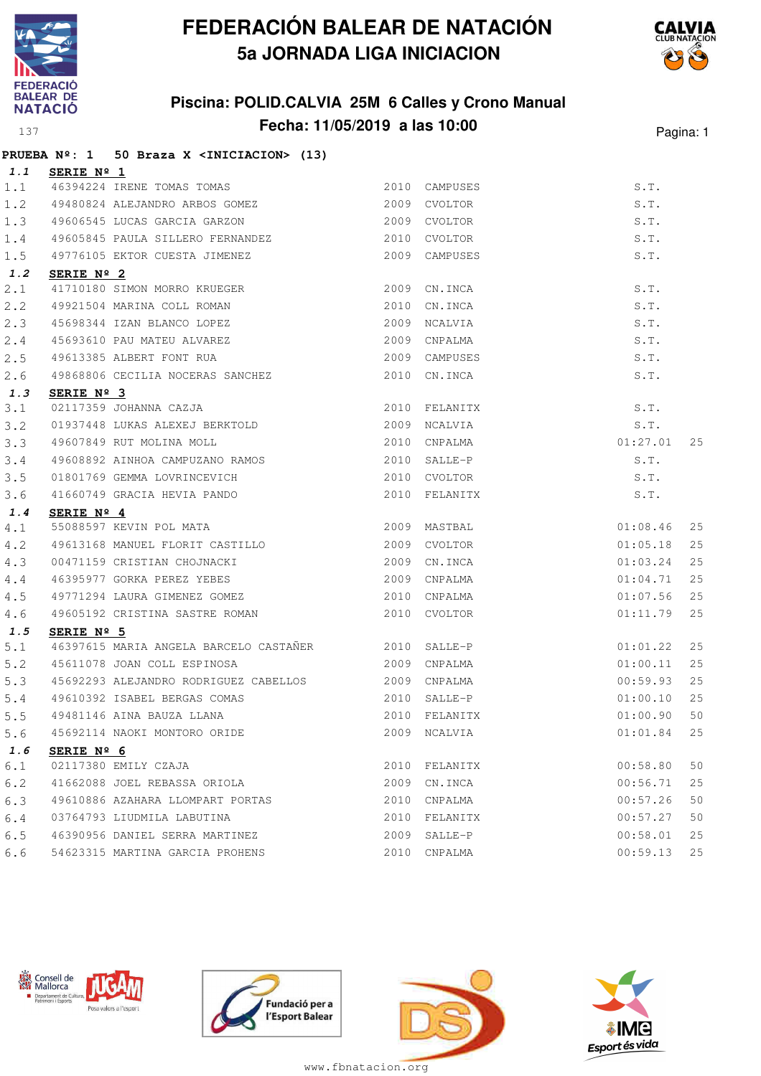

### **Piscina: POLID.CALVIA 25M 6 Calles y Crono Manual Fecha: 11/05/2019 a las 10:00** Pagina: 1



### **PRUEBA Nº: 1 50 Braza X <INICIACION> (13) 1.1 SERIE Nº 1**

| 1.1 | <u>SERIE Nº 1</u>                                                                    |      |               |                                |    |
|-----|--------------------------------------------------------------------------------------|------|---------------|--------------------------------|----|
| 1.1 | 3ERIE Nº I<br>46394224 IRENE TOMAS TOMAS<br>49480824 ALEJANDRO ARBOS GOMEZ           |      | 2010 CAMPUSES | S.T.                           |    |
| 1.2 |                                                                                      |      | 2009 CVOLTOR  | S.T.                           |    |
| 1.3 | 49606545 LUCAS GARCIA GARZON                                                         |      | 2009 CVOLTOR  | S.T.                           |    |
| 1.4 | 49605845 PAULA SILLERO FERNANDEZ                                                     |      | 2010 CVOLTOR  | S.T.                           |    |
| 1.5 | 49776105 EKTOR CUESTA JIMENEZ                                                        |      | 2009 CAMPUSES | S.T.                           |    |
| 1.2 | SERIE Nº 2                                                                           |      |               |                                |    |
| 2.1 | 41710180 SIMON MORRO KRUEGER                                                         |      | 2009 CN. INCA | S.T.                           |    |
| 2.2 | 49921504 MARINA COLL ROMAN                                                           | 2010 | CN.INCA       | S.T.                           |    |
| 2.3 |                                                                                      |      | 2009 NCALVIA  | S.T.                           |    |
| 2.4 | 45698344 IZAN BLANCO LOPEZ<br>45693610 PAU MATEU ALVAREZ<br>49613385 ALBERT FONT RUA |      | 2009 CNPALMA  | S.T.                           |    |
| 2.5 |                                                                                      |      | 2009 CAMPUSES | S.T.                           |    |
| 2.6 | 49868806 CECILIA NOCERAS SANCHEZ                                                     | 2010 | CN.INCA       | S.T.                           |    |
| 1.3 | SERIE Nº 3                                                                           |      |               |                                |    |
| 3.1 | 02117359 JOHANNA CAZJA                                                               |      | 2010 FELANITX | $S.T.$<br>$S.T.$<br>$01:27.01$ |    |
| 3.2 | 01937448 LUKAS ALEXEJ BERKTOLD<br>49607849 RUT MOLINA MOLL                           |      | 2009 NCALVIA  |                                |    |
| 3.3 |                                                                                      |      | 2010 CNPALMA  |                                | 25 |
| 3.4 | 49608892 AINHOA CAMPUZANO RAMOS                                                      |      | 2010 SALLE-P  | S.T.                           |    |
| 3.5 | 01801769 GEMMA LOVRINCEVICH<br>41660749 GRACIA HEVIA PANDO                           |      | 2010 CVOLTOR  | S.T.                           |    |
| 3.6 |                                                                                      |      | 2010 FELANITX | S.T.                           |    |
| 1.4 | SERIE $N^{\circ}$ 4                                                                  |      |               |                                |    |
| 4.1 | 55088597 KEVIN POL MATA                                                              |      | 2009 MASTBAL  | 01:08.46                       | 25 |
| 4.2 | 49613168 MANUEL FLORIT CASTILLO                                                      | 2009 | CVOLTOR       | 01:05.18                       | 25 |
| 4.3 | 00471159 CRISTIAN CHOJNACKI<br>46395977 GORKA PEREZ YEBES                            |      | 2009 CN.INCA  | 01:03.24                       | 25 |
| 4.4 |                                                                                      |      | 2009 CNPALMA  | 01:04.71                       | 25 |
| 4.5 | 49771294 LAURA GIMENEZ GOMEZ 2010 CNPALMA                                            |      |               | 01:07.56                       | 25 |
| 4.6 | 49605192 CRISTINA SASTRE ROMAN                                                       |      | 2010 CVOLTOR  | 01:11.79                       | 25 |
| 1.5 | SERIE $N^{\circ}$ 5                                                                  |      |               |                                |    |
| 5.1 | 46397615 MARIA ANGELA BARCELO CASTAÑER 2010 SALLE-P                                  |      |               | 01:01.22                       | 25 |
| 5.2 | 45611078 JOAN COLL ESPINOSA 2009 CNPALMA                                             |      |               | 01:00.11                       | 25 |
| 5.3 | 45692293 ALEJANDRO RODRIGUEZ CABELLOS 2009 CNPALMA                                   |      |               | 00:59.93                       | 25 |
| 5.4 |                                                                                      |      | 2010 SALLE-P  | 01:00.10                       | 25 |
| 5.5 | 49610392 ISABEL BERGAS COMAS<br>49481146 AINA BAUZA LLANA                            |      | 2010 FELANITX | 01:00.90                       | 50 |
| 5.6 | 45692114 NAOKI MONTORO ORIDE                                                         | 2009 | NCALVIA       | 01:01.84                       | 25 |
| 1.6 | SERIE Nº 6                                                                           |      |               |                                |    |
| 6.1 | 02117380 EMILY CZAJA                                                                 | 2010 | FELANITX      | 00:58.80                       | 50 |
| 6.2 | 41662088 JOEL REBASSA ORIOLA                                                         | 2009 | CN.INCA       | 00:56.71                       | 25 |
| 6.3 | 49610886 AZAHARA LLOMPART PORTAS                                                     | 2010 | CNPALMA       | 00:57.26                       | 50 |
| 6.4 | 03764793 LIUDMILA LABUTINA                                                           | 2010 | FELANITX      | 00:57.27                       | 50 |
| 6.5 | 46390956 DANIEL SERRA MARTINEZ                                                       | 2009 | SALLE-P       | 00:58.01                       | 25 |
| 6.6 | 54623315 MARTINA GARCIA PROHENS                                                      | 2010 | CNPALMA       | 00:59.13                       | 25 |
|     |                                                                                      |      |               |                                |    |









www.fbnatacion.org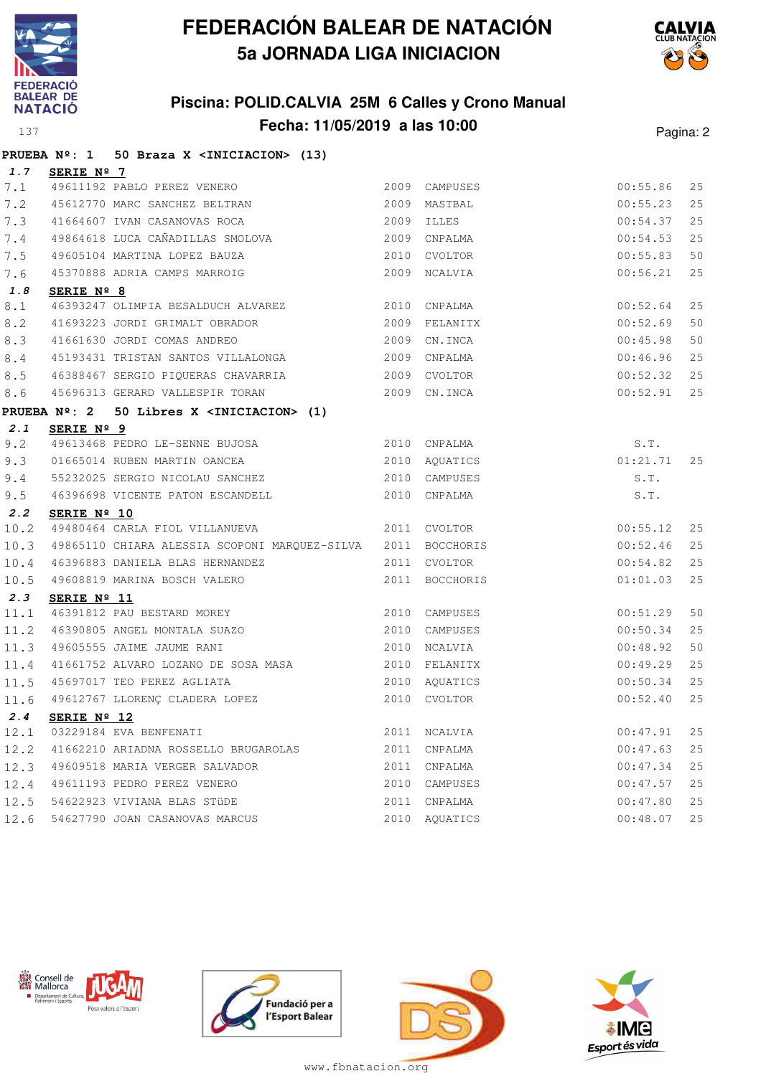





|      | PRUEBA Nº: 1 50 Braza X <iniciacion> (13)</iniciacion>                                                              |      |                |          |    |
|------|---------------------------------------------------------------------------------------------------------------------|------|----------------|----------|----|
| 1.7  | SERIE Nº 7                                                                                                          |      |                |          |    |
| 7.1  | 49611192 PABLO PEREZ VENERO<br>45612770 MARC SANCHEZ BELTRAN 2009 MASTBZ<br>41664607 IVAN CASANOVAS ROCA 2009 ILLES |      | 2009 CAMPUSES  | 00:55.86 | 25 |
| 7.2  |                                                                                                                     |      | 2009 MASTBAL   | 00:55.23 | 25 |
| 7.3  |                                                                                                                     |      |                | 00:54.37 | 25 |
| 7.4  |                                                                                                                     |      |                | 00:54.53 | 25 |
| 7.5  |                                                                                                                     |      |                | 00:55.83 | 50 |
| 7.6  |                                                                                                                     |      |                | 00:56.21 | 25 |
| 1.8  | SERIE Nº 8                                                                                                          |      |                |          |    |
| 8.1  | 46393247 OLIMPIA BESALDUCH ALVAREZ 2010 CNPALMA                                                                     |      |                | 00:52.64 | 25 |
| 8.2  |                                                                                                                     |      |                | 00:52.69 | 50 |
| 8.3  | 41661630 JORDI COMAS ANDREO<br>45193431 TRISTAN SANTOS VILLALONGA (2009 CNPALMA                                     |      |                | 00:45.98 | 50 |
| 8.4  |                                                                                                                     |      |                | 00:46.96 | 25 |
| 8.5  | 46388467 SERGIO PIQUERAS CHAVARRIA 2009 CVOLTOR                                                                     |      |                | 00:52.32 | 25 |
| 8.6  | 45696313 GERARD VALLESPIR TORAN 2009 CN.INCA                                                                        |      |                | 00:52.91 | 25 |
|      | PRUEBA $N^{\circ}$ : 2 50 Libres X <iniciacion> (1)</iniciacion>                                                    |      |                |          |    |
| 2.1  | SERIE Nº 9                                                                                                          |      |                |          |    |
| 9.2  | 49613468 PEDRO LE-SENNE BUJOSA 2010 CNPALMA                                                                         |      |                | S.T.     |    |
| 9.3  | 01665014 RUBEN MARTIN OANCEA 2010 AQUATICS                                                                          |      |                | 01:21.71 | 25 |
| 9.4  |                                                                                                                     |      | 2010 CAMPUSES  | S.T.     |    |
| 9.5  | 55232025 SERGIO NICOLAU SANCHEZ<br>46396698 VICENTE PATON ESCANDELL 2010 CAMPUSES                                   |      |                | S.T.     |    |
| 2.2  | SERIE Nº 10                                                                                                         |      |                |          |    |
| 10.2 | 49480464 CARLA FIOL VILLANUEVA 2011 CVOLTOR                                                                         |      |                | 00:55.12 | 25 |
| 10.3 | 49865110 CHIARA ALESSIA SCOPONI MARQUEZ-SILVA 2011 BOCCHORIS                                                        |      |                | 00:52.46 | 25 |
| 10.4 | 46396883 DANIELA BLAS HERNANDEZ                                                                                     |      | 2011 CVOLTOR   | 00:54.82 | 25 |
| 10.5 | 49608819 MARINA BOSCH VALERO                                                                                        |      | 2011 BOCCHORIS | 01:01.03 | 25 |
| 2.3  | SERIE $N^{\circ}$ 11                                                                                                |      |                |          |    |
| 11.1 | 3ERIE Nº 11<br>46391812 PAU BESTARD MOREY                                                                           |      | 2010 CAMPUSES  | 00:51.29 | 50 |
| 11.2 |                                                                                                                     |      | 2010 CAMPUSES  | 00:50.34 | 25 |
| 11.3 | 46390805 ANGEL MONTALA SUAZO<br>49605555 JAIME JAUME RANI                                                           |      | 2010 NCALVIA   | 00:48.92 | 50 |
| 11.4 | 41661752 ALVARO LOZANO DE SOSA MASA $2010$ FELANITX                                                                 |      |                | 00:49.29 | 25 |
| 11.5 | 2010 AQUATICS<br>45697017 TEO PEREZ AGLIATA                                                                         |      |                | 00:50.34 | 25 |
| 11.6 | 49612767 LLORENÇ CLADERA LOPEZ                                                                                      |      | 2010 CVOLTOR   | 00:52.40 | 25 |
| 2.4  | SERIE $N^{\circ}$ 12                                                                                                |      |                |          |    |
| 12.1 | 03229184 EVA BENFENATI                                                                                              | 2011 | NCALVIA        | 00:47.91 | 25 |
| 12.2 | 41662210 ARIADNA ROSSELLO BRUGAROLAS                                                                                | 2011 | CNPALMA        | 00:47.63 | 25 |
| 12.3 | 49609518 MARIA VERGER SALVADOR                                                                                      | 2011 | CNPALMA        | 00:47.34 | 25 |
| 12.4 | 49611193 PEDRO PEREZ VENERO                                                                                         | 2010 | CAMPUSES       | 00:47.57 | 25 |
| 12.5 | 54622923 VIVIANA BLAS STÜDE                                                                                         | 2011 | CNPALMA        | 00:47.80 | 25 |
| 12.6 | 54627790 JOAN CASANOVAS MARCUS                                                                                      |      | 2010 AQUATICS  | 00:48.07 | 25 |









www.fbnatacion.org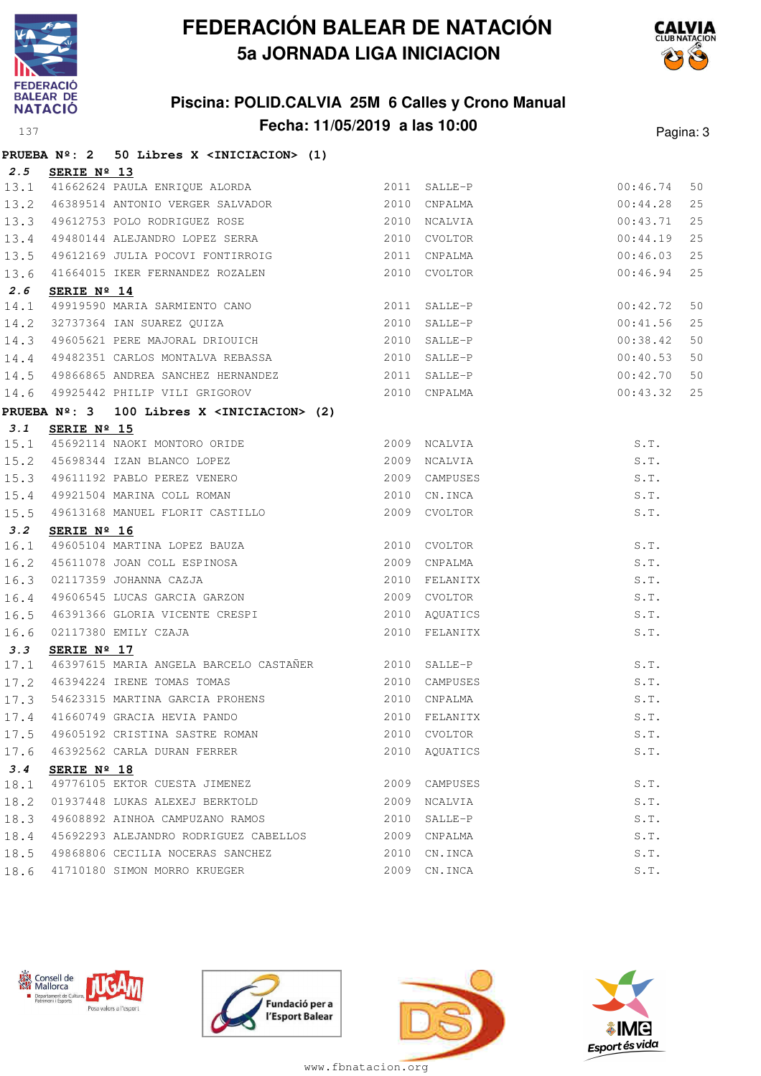





|      |                      | PRUEBA Nº: 2 50 Libres X <iniciacion> (1)</iniciacion>                                                                            |      |               |          |    |
|------|----------------------|-----------------------------------------------------------------------------------------------------------------------------------|------|---------------|----------|----|
| 2.5  | SERIE Nº 13          |                                                                                                                                   |      |               |          |    |
| 13.1 |                      | 2011 SALLE-P<br>41662624 PAULA ENRIQUE ALORDA<br>46389514 ANTONIO VERGER SALVADOR (2010 CNPALMA                                   |      |               | 00:46.74 | 50 |
| 13.2 |                      |                                                                                                                                   |      |               | 00:44.28 | 25 |
| 13.3 |                      | 49612753 POLO RODRIGUEZ ROSE 2010 NCALVIA                                                                                         |      |               | 00:43.71 | 25 |
| 13.4 |                      | 49480144 ALEJANDRO LOPEZ SERRA 2010 CVOLTOR                                                                                       |      |               | 00:44.19 | 25 |
| 13.5 |                      | 49612169 JULIA POCOVI FONTIRROIG 2011 CNPALMA                                                                                     |      |               | 00:46.03 | 25 |
| 13.6 |                      | 41664015 IKER FERNANDEZ ROZALEN                                                                                                   |      | 2010 CVOLTOR  | 00:46.94 | 25 |
| 2.6  | SERIE $N^{\circ}$ 14 |                                                                                                                                   |      |               |          |    |
| 14.1 |                      | 49919590 MARIA SARMIENTO CANO 2011 SALLE-P                                                                                        |      |               | 00:42.72 | 50 |
| 14.2 |                      |                                                                                                                                   |      |               | 00:41.56 | 25 |
| 14.3 |                      |                                                                                                                                   |      |               | 00:38.42 | 50 |
| 14.4 |                      | 49482351 CARLOS MONTALVA REBASSA 2010 SALLE-P                                                                                     |      |               | 00:40.53 | 50 |
| 14.5 |                      | 49866865 ANDREA SANCHEZ HERNANDEZ 2011 SALLE-P                                                                                    |      |               | 00:42.70 | 50 |
| 14.6 |                      | 49925442 PHILIP VILI GRIGOROV 2010 CNPALMA                                                                                        |      |               | 00:43.32 | 25 |
|      |                      | PRUEBA Nº: 3 100 Libres X <iniciacion> (2)</iniciacion>                                                                           |      |               |          |    |
| 3.1  | SERIE Nº 15          |                                                                                                                                   |      |               |          |    |
| 15.1 |                      |                                                                                                                                   |      |               | S.T.     |    |
| 15.2 |                      |                                                                                                                                   |      |               | S.T.     |    |
| 15.3 |                      | 45692114 NAOKI MONTORO ORIDE 2009 NCALVIA<br>45698344 IZAN BLANCO LOPEZ 2009 NCALVIA<br>49611192 PABLO PEREZ VENERO 2009 CAMPUSES |      |               | S.T.     |    |
| 15.4 |                      | 49921504 MARINA COLL ROMAN 2010 CN.INCA                                                                                           |      |               | S.T.     |    |
| 15.5 |                      | 49613168 MANUEL FLORIT CASTILLO                                                                                                   |      | 2009 CVOLTOR  | S.T.     |    |
| 3.2  | SERIE Nº 16          |                                                                                                                                   |      |               |          |    |
| 16.1 |                      | 49605104 MARTINA LOPEZ BAUZA 2010 CVOLTOR                                                                                         |      |               | S.T.     |    |
| 16.2 |                      |                                                                                                                                   |      |               | S.T.     |    |
| 16.3 |                      | 45611078 JOAN COLL ESPINOSA 2009 CNPALMA<br>02117359 JOHANNA CAZJA 2010 FELANITX<br>49606545 LUCAS GARCIA GARZON 2009 CVOLTOR     |      |               | S.T.     |    |
| 16.4 |                      |                                                                                                                                   |      |               | S.T.     |    |
| 16.5 |                      |                                                                                                                                   |      | 2010 AQUATICS | S.T.     |    |
| 16.6 |                      | 46391366 GLORIA VICENTE CRESPI<br>02117380 EMILY CZAJA 2010 RQUATICS<br>2010 FELANITX                                             |      |               | S.T.     |    |
| 3.3  | SERIE Nº 17          |                                                                                                                                   |      |               |          |    |
| 17.1 |                      | 46397615 MARIA ANGELA BARCELO CASTAÑER 2010 SALLE-P                                                                               |      |               | S.T.     |    |
| 17.2 |                      | 46394224 IRENE TOMAS TOMAS (2010 CAMPUSES                                                                                         |      |               | S.T.     |    |
| 17.3 |                      | 54623315 MARTINA GARCIA PROHENS 2010 CNPALMA                                                                                      |      |               | S.T.     |    |
|      |                      | 17.4 41660749 GRACIA HEVIA PANDO 60 2010 FELANITX                                                                                 |      |               | S.T.     |    |
| 17.5 |                      | 49605192 CRISTINA SASTRE ROMAN                                                                                                    | 2010 | CVOLTOR       | S.T.     |    |
| 17.6 |                      | 46392562 CARLA DURAN FERRER                                                                                                       |      | 2010 AOUATICS | S.T.     |    |
| 3.4  | SERIE Nº 18          |                                                                                                                                   |      |               |          |    |
| 18.1 |                      | 49776105 EKTOR CUESTA JIMENEZ                                                                                                     |      | 2009 CAMPUSES | S.T.     |    |
| 18.2 |                      | 01937448 LUKAS ALEXEJ BERKTOLD                                                                                                    |      | 2009 NCALVIA  | S.T.     |    |
| 18.3 |                      | 49608892 AINHOA CAMPUZANO RAMOS                                                                                                   | 2010 | SALLE-P       | S.T.     |    |
| 18.4 |                      | 45692293 ALEJANDRO RODRIGUEZ CABELLOS                                                                                             |      | 2009 CNPALMA  | S.T.     |    |
| 18.5 |                      | 49868806 CECILIA NOCERAS SANCHEZ                                                                                                  |      | 2010 CN.INCA  | S.T.     |    |
| 18.6 |                      | 41710180 SIMON MORRO KRUEGER                                                                                                      |      | 2009 CN.INCA  | S.T.     |    |









www.fbnatacion.org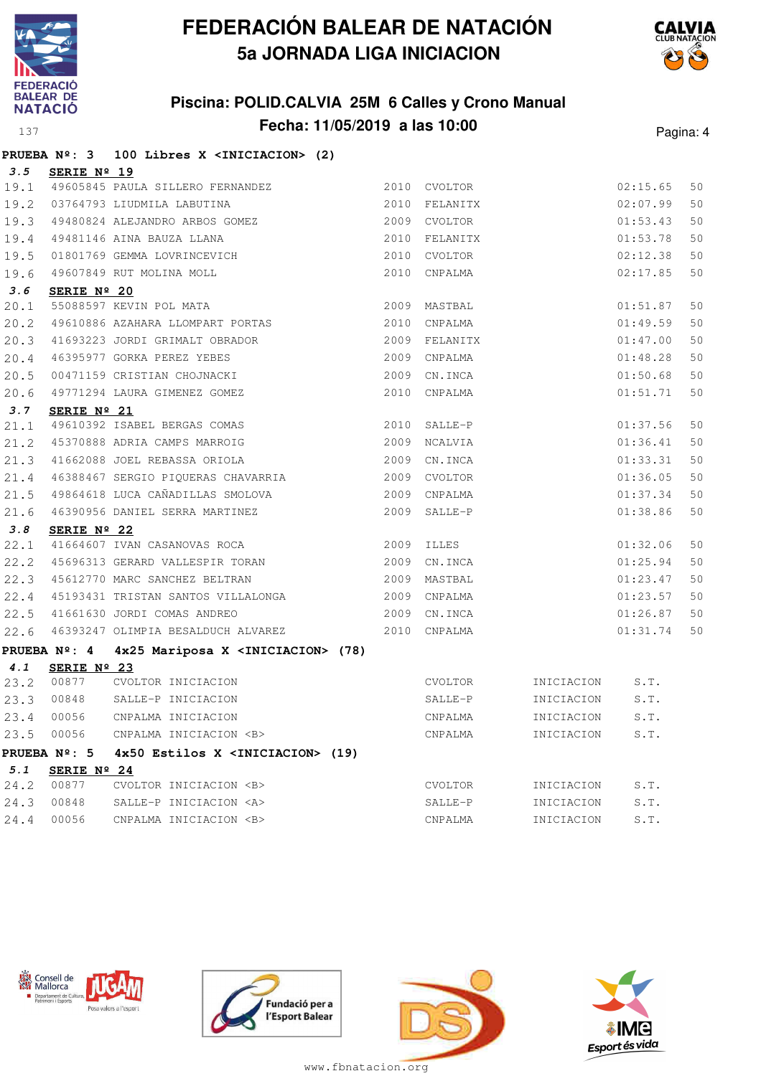





|      | <b>PRUEBA Nº: 3</b>  | 100 Libres X <iniciacion> (2)</iniciacion>                                                                                   |               |            |          |    |
|------|----------------------|------------------------------------------------------------------------------------------------------------------------------|---------------|------------|----------|----|
| 3.5  | SERIE Nº 19          |                                                                                                                              |               |            |          |    |
|      |                      | 19.1 49605845 PAULA SILLERO FERNANDEZ                                                                                        | 2010 CVOLTOR  |            | 02:15.65 | 50 |
|      |                      | 19.2 03764793 LIUDMILA LABUTINA                                                                                              | 2010 FELANITX |            | 02:07.99 | 50 |
| 19.3 |                      | 03764793 LIUDMILA LABUTINA<br>49480824 ALEJANDRO ARBOS GOMEZ                                                                 | 2009 CVOLTOR  |            | 01:53.43 | 50 |
| 19.4 |                      | 49481146 AINA BAUZA LLANA                                                                                                    | 2010 FELANITX |            | 01:53.78 | 50 |
| 19.5 |                      |                                                                                                                              | 2010 CVOLTOR  |            | 02:12.38 | 50 |
| 19.6 |                      | 49481146 AINA BAUZA LLANA<br>01801769 GEMMA LOVRINCEVICH<br>49607849 RUT MOLINA MOLL                                         | 2010 CNPALMA  |            | 02:17.85 | 50 |
| 3.6  | SERIE Nº 20          |                                                                                                                              |               |            |          |    |
| 20.1 |                      | 55088597 KEVIN POL MATA                                                                                                      | 2009 MASTBAL  |            | 01:51.87 | 50 |
| 20.2 |                      | 49610886 AZAHARA LLOMPART PORTAS                                                                                             | 2010 CNPALMA  |            | 01:49.59 | 50 |
| 20.3 |                      | 41693223 JORDI GRIMALT OBRADOR                                                                                               | 2009 FELANITX |            | 01:47.00 | 50 |
| 20.4 |                      | 46395977 GORKA PEREZ YEBES                                                                                                   | 2009 CNPALMA  |            | 01:48.28 | 50 |
| 20.5 |                      | 00471159 CRISTIAN CHOJNACKI                                                                                                  | 2009 CN.INCA  |            | 01:50.68 | 50 |
| 20.6 |                      | 49771294 LAURA GIMENEZ GOMEZ                                                                                                 | 2010 CNPALMA  |            | 01:51.71 | 50 |
| 3.7  | SERIE $N^{\circ}$ 21 |                                                                                                                              |               |            |          |    |
| 21.1 |                      | 49610392 ISABEL BERGAS COMAS                                                                                                 | 2010 SALLE-P  |            | 01:37.56 | 50 |
| 21.2 |                      | 45370888 ADRIA CAMPS MARROIG                                                                                                 | 2009 NCALVIA  |            | 01:36.41 | 50 |
| 21.3 |                      | 41662088 JOEL REBASSA ORIOLA                                                                                                 | 2009 CN.INCA  |            | 01:33.31 | 50 |
| 21.4 |                      | 46388467 SERGIO PIQUERAS CHAVARRIA                                                                                           | 2009 CVOLTOR  |            | 01:36.05 | 50 |
| 21.5 |                      | 49864618 LUCA CAÑADILLAS SMOLOVA                                                                                             | 2009 CNPALMA  |            | 01:37.34 | 50 |
| 21.6 |                      | 46390956 DANIEL SERRA MARTINEZ                                                                                               | 2009 SALLE-P  |            | 01:38.86 | 50 |
| 3.8  | SERIE $N^{\circ}$ 22 |                                                                                                                              |               |            |          |    |
| 22.1 |                      | 41664607 IVAN CASANOVAS ROCA                                                                                                 | 2009 ILLES    |            | 01:32.06 | 50 |
|      |                      | 22.2 45696313 GERARD VALLESPIR TORAN                                                                                         | 2009 CN.INCA  |            | 01:25.94 | 50 |
|      |                      | 22.3 45612770 MARC SANCHEZ BELTRAN                                                                                           | 2009 MASTBAL  |            | 01:23.47 | 50 |
|      |                      | 22.4 45193431 TRISTAN SANTOS VILLALONGA<br>22.5 41661630 JORDI COMAS ANDREO                                                  | 2009 CNPALMA  |            | 01:23.57 | 50 |
| 22.5 |                      |                                                                                                                              | 2009 CN.INCA  |            | 01:26.87 | 50 |
| 22.6 |                      | 46393247 OLIMPIA BESALDUCH ALVAREZ                                                                                           | 2010 CNPALMA  |            | 01:31.74 | 50 |
|      |                      | PRUEBA Nº: 4 4x25 Mariposa X <iniciacion> (78)</iniciacion>                                                                  |               |            |          |    |
| 4.1  | SERIE Nº 23          |                                                                                                                              |               |            |          |    |
| 23.2 | 00877                |                                                                                                                              |               | INICIACION | S.T.     |    |
| 23.3 | 00848                | CVOLTOR INICIACION CVOLTOR<br>SALLE-P INICIACION SALLE-P<br>CNPALMA INICIACION CNPALMA<br>CNPALMA INICIACION <b> CNPALMA</b> |               | INICIACION | S.T.     |    |
| 23.4 | 00056                |                                                                                                                              |               | INICIACION | S.T.     |    |
| 23.5 | 00056                |                                                                                                                              |               | INICIACION | S.T.     |    |
|      |                      | PRUEBA $N^2$ : 5 $4x50$ Estilos X <iniciacion> (19)</iniciacion>                                                             |               |            |          |    |
| 5.1  | SERIE Nº 24          |                                                                                                                              |               |            |          |    |
|      | 24.2 00877           | CVOLTOR INICIACION <b></b>                                                                                                   | CVOLTOR       | INICIACION | S.T.     |    |
| 24.3 | 00848                | SALLE-P INICIACION <a></a>                                                                                                   | SALLE-P       | INICIACION | S.T.     |    |









www.fbnatacion.org

24.4 00056 CNPALMA INICIACION <B> CNPALMA INICIACION S.T.